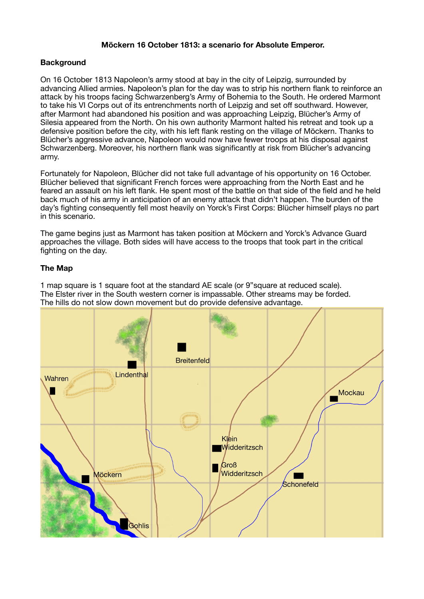## **Möckern 16 October 1813: a scenario for Absolute Emperor.**

## **Background**

On 16 October 1813 Napoleon's army stood at bay in the city of Leipzig, surrounded by advancing Allied armies. Napoleon's plan for the day was to strip his northern flank to reinforce an attack by his troops facing Schwarzenberg's Army of Bohemia to the South. He ordered Marmont to take his VI Corps out of its entrenchments north of Leipzig and set off southward. However, after Marmont had abandoned his position and was approaching Leipzig, Blücher's Army of Silesia appeared from the North. On his own authority Marmont halted his retreat and took up a defensive position before the city, with his left flank resting on the village of Möckern. Thanks to Blücher's aggressive advance, Napoleon would now have fewer troops at his disposal against Schwarzenberg. Moreover, his northern flank was significantly at risk from Blücher's advancing army.

Fortunately for Napoleon, Blücher did not take full advantage of his opportunity on 16 October. Blücher believed that significant French forces were approaching from the North East and he feared an assault on his left flank. He spent most of the battle on that side of the field and he held back much of his army in anticipation of an enemy attack that didn't happen. The burden of the day's fighting consequently fell most heavily on Yorck's First Corps: Blücher himself plays no part in this scenario.

The game begins just as Marmont has taken position at Möckern and Yorck's Advance Guard approaches the village. Both sides will have access to the troops that took part in the critical fighting on the day.

# **The Map**

1 map square is 1 square foot at the standard AE scale (or 9"square at reduced scale). The Elster river in the South western corner is impassable. Other streams may be forded. The hills do not slow down movement but do provide defensive advantage.

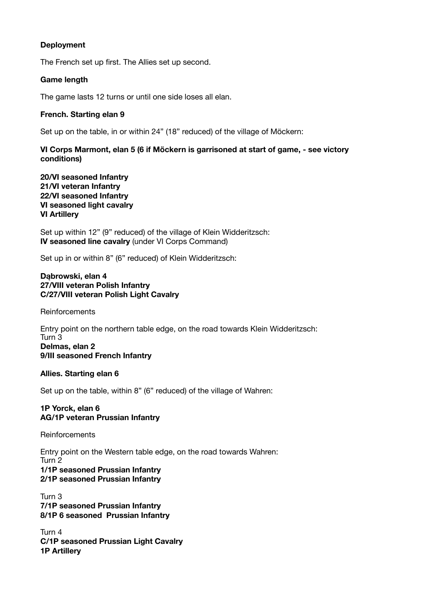# **Deployment**

The French set up first. The Allies set up second.

### **Game length**

The game lasts 12 turns or until one side loses all elan.

### **French. Starting elan 9**

Set up on the table, in or within 24" (18" reduced) of the village of Möckern:

**VI Corps Marmont, elan 5 (6 if Möckern is garrisoned at start of game, - see victory conditions)** 

**20/VI seasoned Infantry 21/VI veteran Infantry 22/VI seasoned Infantry VI seasoned light cavalry VI Artillery** 

Set up within 12" (9" reduced) of the village of Klein Widderitzsch: **IV seasoned line cavalry** (under VI Corps Command)

Set up in or within 8" (6" reduced) of Klein Widderitzsch:

## **Dąbrowski, elan 4 27/VIII veteran Polish Infantry C/27/VIII veteran Polish Light Cavalry**

**Reinforcements** 

Entry point on the northern table edge, on the road towards Klein Widderitzsch: Turn 3 **Delmas, elan 2 9/III seasoned French Infantry** 

## **Allies. Starting elan 6**

Set up on the table, within 8" (6" reduced) of the village of Wahren:

**1P Yorck, elan 6 AG/1P veteran Prussian Infantry** 

**Reinforcements** 

Entry point on the Western table edge, on the road towards Wahren: Turn 2 **1/1P seasoned Prussian Infantry 2/1P seasoned Prussian Infantry**

Turn 3 **7/1P seasoned Prussian Infantry 8/1P 6 seasoned Prussian Infantry** 

Turn 4 **C/1P seasoned Prussian Light Cavalry 1P Artillery**